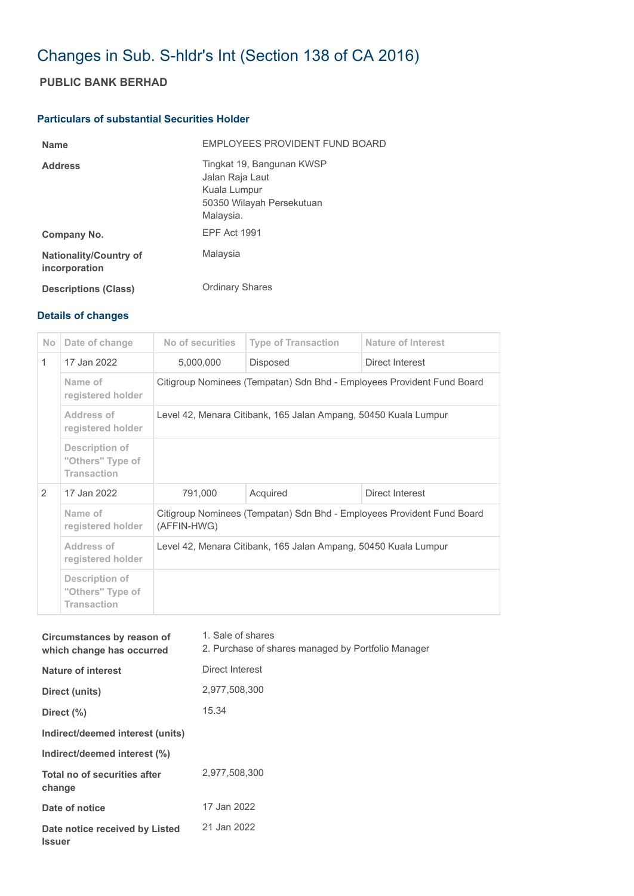## Changes in Sub. S-hldr's Int (Section 138 of CA 2016)

## **PUBLIC BANK BERHAD**

## **Particulars of substantial Securities Holder**

| <b>Name</b>                                    | EMPLOYEES PROVIDENT FUND BOARD                                                                         |
|------------------------------------------------|--------------------------------------------------------------------------------------------------------|
| <b>Address</b>                                 | Tingkat 19, Bangunan KWSP<br>Jalan Raja Laut<br>Kuala Lumpur<br>50350 Wilayah Persekutuan<br>Malaysia. |
| Company No.                                    | <b>EPF Act 1991</b>                                                                                    |
| <b>Nationality/Country of</b><br>incorporation | Malaysia                                                                                               |
| <b>Descriptions (Class)</b>                    | <b>Ordinary Shares</b>                                                                                 |

## **Details of changes**

| N <sub>o</sub> | Date of change                                           | No of securities                                                                      | <b>Type of Transaction</b> | <b>Nature of Interest</b> |  |
|----------------|----------------------------------------------------------|---------------------------------------------------------------------------------------|----------------------------|---------------------------|--|
| $\mathbf{1}$   | 17 Jan 2022                                              | 5,000,000                                                                             | Disposed                   | Direct Interest           |  |
|                | Name of<br>registered holder                             | Citigroup Nominees (Tempatan) Sdn Bhd - Employees Provident Fund Board                |                            |                           |  |
|                | Address of<br>registered holder                          | Level 42, Menara Citibank, 165 Jalan Ampang, 50450 Kuala Lumpur                       |                            |                           |  |
|                | Description of<br>"Others" Type of<br><b>Transaction</b> |                                                                                       |                            |                           |  |
| $\mathcal{P}$  | 17 Jan 2022                                              | 791,000                                                                               | Acquired                   | Direct Interest           |  |
|                | Name of<br>registered holder                             | Citigroup Nominees (Tempatan) Sdn Bhd - Employees Provident Fund Board<br>(AFFIN-HWG) |                            |                           |  |
|                | Address of<br>registered holder                          | Level 42, Menara Citibank, 165 Jalan Ampang, 50450 Kuala Lumpur                       |                            |                           |  |
|                | Description of<br>"Others" Type of<br><b>Transaction</b> |                                                                                       |                            |                           |  |

| Circumstances by reason of<br>which change has occurred | 1. Sale of shares<br>2. Purchase of shares managed by Portfolio Manager |
|---------------------------------------------------------|-------------------------------------------------------------------------|
| Nature of interest                                      | Direct Interest                                                         |
| Direct (units)                                          | 2,977,508,300                                                           |
| Direct $(\% )$                                          | 15.34                                                                   |
| Indirect/deemed interest (units)                        |                                                                         |
| Indirect/deemed interest (%)                            |                                                                         |
| Total no of securities after<br>change                  | 2,977,508,300                                                           |
| Date of notice                                          | 17 Jan 2022                                                             |
| Date notice received by Listed<br><b>Issuer</b>         | 21 Jan 2022                                                             |